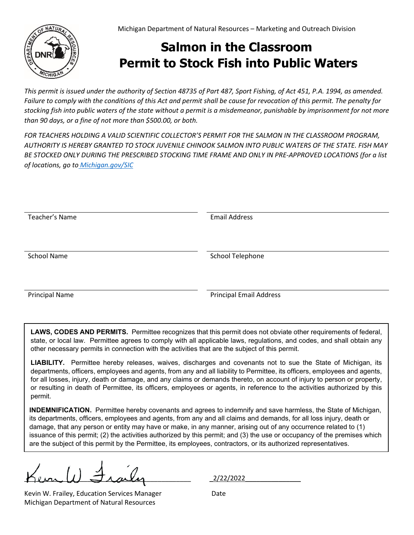## **Salmon in the Classroom Permit to Stock Fish into Public Waters**

*This permit is issued under the authority of Section 48735 of Part 487, Sport Fishing, of Act 451, P.A. 1994, as amended. Failure to comply with the conditions of this Act and permit shall be cause for revocation of this permit. The penalty for stocking fish into public waters of the state without a permit is a misdemeanor, punishable by imprisonment for not more than 90 days, or a fine of not more than \$500.00, or both.* 

*FOR TEACHERS HOLDING A VALID SCIENTIFIC COLLECTOR'S PERMIT FOR THE SALMON IN THE CLASSROOM PROGRAM, AUTHORITY IS HEREBY GRANTED TO STOCK JUVENILE CHINOOK SALMON INTO PUBLIC WATERS OF THE STATE. FISH MAY BE STOCKED ONLY DURING THE PRESCRIBED STOCKING TIME FRAME AND ONLY IN PRE-APPROVED LOCATIONS (for a list of locations, go to [Michigan.gov/SIC](http://www.michigan.gov/sic)*

| Teacher's Name        | <b>Email Address</b>           |
|-----------------------|--------------------------------|
|                       |                                |
|                       |                                |
|                       |                                |
|                       |                                |
| <b>School Name</b>    | School Telephone               |
|                       |                                |
|                       |                                |
|                       |                                |
|                       |                                |
| <b>Principal Name</b> | <b>Principal Email Address</b> |

**LAWS, CODES AND PERMITS.** Permittee recognizes that this permit does not obviate other requirements of federal, state, or local law. Permittee agrees to comply with all applicable laws, regulations, and codes, and shall obtain any other necessary permits in connection with the activities that are the subject of this permit.

**LIABILITY.** Permittee hereby releases, waives, discharges and covenants not to sue the State of Michigan, its departments, officers, employees and agents, from any and all liability to Permittee, its officers, employees and agents, for all losses, injury, death or damage, and any claims or demands thereto, on account of injury to person or property, or resulting in death of Permittee, its officers, employees or agents, in reference to the activities authorized by this permit.

**INDEMNIFICATION.** Permittee hereby covenants and agrees to indemnify and save harmless, the State of Michigan, its departments, officers, employees and agents, from any and all claims and demands, for all loss injury, death or damage, that any person or entity may have or make, in any manner, arising out of any occurrence related to (1) issuance of this permit; (2) the activities authorized by this permit; and (3) the use or occupancy of the premises which are the subject of this permit by the Permittee, its employees, contractors, or its authorized representatives.

Kevin W. Frailey, Education Services Manager Date Michigan Department of Natural Resources

\_\_\_\_\_\_\_\_\_\_\_\_\_\_\_\_\_\_\_\_\_\_\_\_\_\_\_\_\_\_\_\_\_\_\_\_\_\_\_\_\_\_\_\_\_ \_2/22/2022\_\_\_\_\_\_\_\_\_\_\_\_\_\_\_